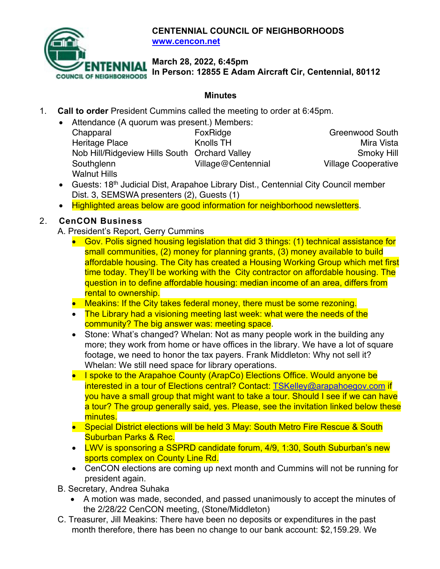

**CENTENNIAL COUNCIL OF NEIGHBORHOODS www.cencon.net**

**March 28, 2022, 6:45pm**

**In Person: 12855 E Adam Aircraft Cir, Centennial, 80112**

## **Minutes**

- 1. **Call to order** President Cummins called the meeting to order at 6:45pm.
	- Attendance (A quorum was present.) Members:

| Chapparal                                     | FoxRidge           | <b>Greenwood South</b>     |
|-----------------------------------------------|--------------------|----------------------------|
| Heritage Place                                | Knolls TH          | Mira Vista                 |
| Nob Hill/Ridgeview Hills South Orchard Valley |                    | Smoky Hill                 |
| Southglenn                                    | Village@Centennial | <b>Village Cooperative</b> |
| <b>Walnut Hills</b>                           |                    |                            |

- Guests: 18<sup>th</sup> Judicial Dist, Arapahoe Library Dist., Centennial City Council member Dist. 3, SEMSWA presenters (2), Guests (1)
- Highlighted areas below are good information for neighborhood newsletters.

## 2. **CenCON Business**

A. President's Report, Gerry Cummins

- Gov. Polis signed housing legislation that did 3 things: (1) technical assistance for small communities, (2) money for planning grants, (3) money available to build affordable housing. The City has created a Housing Working Group which met first time today. They'll be working with the City contractor on affordable housing. The question in to define affordable housing: median income of an area, differs from rental to ownership.
- Meakins: If the City takes federal money, there must be some rezoning.
- The Library had a visioning meeting last week: what were the needs of the community? The big answer was: meeting space.
- Stone: What's changed? Whelan: Not as many people work in the building any more; they work from home or have offices in the library. We have a lot of square footage, we need to honor the tax payers. Frank Middleton: Why not sell it? Whelan: We still need space for library operations.
- I spoke to the Arapahoe County (ArapCo) Elections Office. Would anyone be interested in a tour of Elections central? Contact: TSKelley@arapahoegov.com if you have a small group that might want to take a tour. Should I see if we can have a tour? The group generally said, yes. Please, see the invitation linked below these minutes.
- Special District elections will be held 3 May: South Metro Fire Rescue & South Suburban Parks & Rec.
- LWV is sponsoring a SSPRD candidate forum, 4/9, 1:30, South Suburban's new sports complex on County Line Rd.
- CenCON elections are coming up next month and Cummins will not be running for president again.
- B. Secretary, Andrea Suhaka
	- A motion was made, seconded, and passed unanimously to accept the minutes of the 2/28/22 CenCON meeting, (Stone/Middleton)
- C. Treasurer, Jill Meakins: There have been no deposits or expenditures in the past month therefore, there has been no change to our bank account: \$2,159.29. We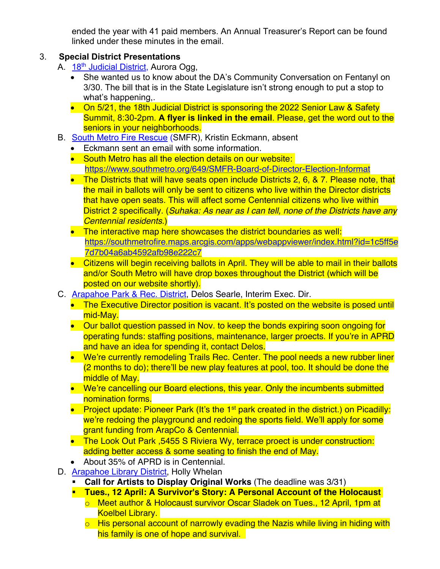ended the year with 41 paid members. An Annual Treasurer's Report can be found linked under these minutes in the email.

## 3. **Special District Presentations**

- A. 18<sup>th</sup> Judicial District, Aurora Ogg,
	- She wanted us to know about the DA's Community Conversation on Fentanyl on 3/30. The bill that is in the State Legislature isn't strong enough to put a stop to what's happening,.
	- On 5/21, the 18th Judicial District is sponsoring the 2022 Senior Law & Safety Summit, 8:30-2pm. **A flyer is linked in the email**. Please, get the word out to the seniors in your neighborhoods.
- B. South Metro Fire Rescue (SMFR), Kristin Eckmann, absent
	- Eckmann sent an email with some information.
	- South Metro has all the election details on our website: https://www.southmetro.org/649/SMFR-Board-of-Director-Election-Informat
	- The Districts that will have seats open include Districts 2, 6, & 7. Please note, that the mail in ballots will only be sent to citizens who live within the Director districts that have open seats. This will affect some Centennial citizens who live within District 2 specifically. (*Suhaka: As near as I can tell, none of the Districts have any Centennial residents.*)
	- The interactive map here showcases the district boundaries as well: https://southmetrofire.maps.arcgis.com/apps/webappviewer/index.html?id=1c5ff5e 7d7b04a6ab4592afb98e222c7
	- Citizens will begin receiving ballots in April. They will be able to mail in their ballots and/or South Metro will have drop boxes throughout the District (which will be posted on our website shortly).
- C. Arapahoe Park & Rec. District, Delos Searle, Interim Exec. Dir.
	- The Executive Director position is vacant. It's posted on the website is posed until mid-May.
	- Our ballot question passed in Nov. to keep the bonds expiring soon ongoing for operating funds: staffing positions, maintenance, larger proects. If you're in APRD and have an idea for spending it, contact Delos.
	- We're currently remodeling Trails Rec. Center. The pool needs a new rubber liner (2 months to do); there'll be new play features at pool, too. It should be done the middle of May.
	- We're cancelling our Board elections, this year. Only the incumbents submitted nomination forms.
	- Project update: Pioneer Park (It's the 1<sup>st</sup> park created in the district.) on Picadilly: we're redoing the playground and redoing the sports field. We'll apply for some grant funding from ArapCo & Centennial.
	- The Look Out Park ,5455 S Riviera Wy, terrace proect is under construction: adding better access & some seating to finish the end of May.
	- About 35% of APRD is in Centennial.
- D. Arapahoe Library District, Holly Whelan
	- § **Call for Artists to Display Original Works** (The deadline was 3/31)
	- § **Tues., 12 April: A Survivor's Story: A Personal Account of the Holocaust**
		- o Meet author & Holocaust survivor Oscar Sladek on Tues., 12 April, 1pm at Koelbel Library.
		- $\circ$  His personal account of narrowly evading the Nazis while living in hiding with his family is one of hope and survival.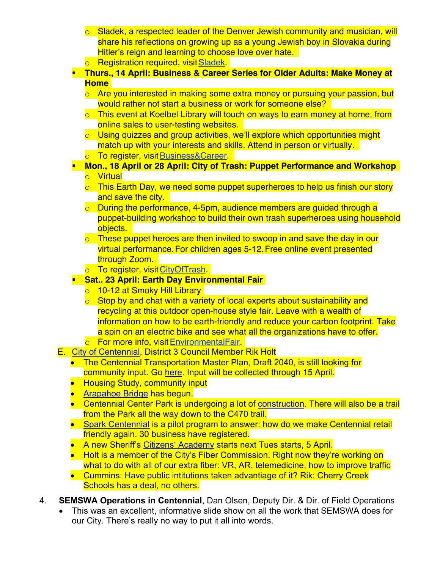- $\circ$  Sladek, a respected leader of the Denver Jewish community and musician, will share his reflections on growing up as a young Jewish boy in Slovakia during Hitler's reign and learning to choose love over hate.
- o Registration required, visit Sladek.
- § **Thurs., 14 April: Business & Career Series for Older Adults: Make Money at Home**
	- o Are you interested in making some extra money or pursuing your passion, but would rather not start a business or work for someone else?
	- o This event at Koelbel Library will touch on ways to earn money at home, from online sales to user-testing websites.
	- o Using quizzes and group activities, we'll explore which opportunities might match up with your interests and skills. Attend in person or virtually.
	- o To register, visit Business&Career.
- § **Mon., 18 April or 28 April: City of Trash: Puppet Performance and Workshop**
	- o Virtual
	- $\circ$  This Earth Day, we need some puppet superheroes to help us finish our story and save the city.
	- $\circ$  During the performance, 4-5pm, audience members are guided through a puppet-building workshop to build their own trash superheroes using household objects.
	- $\circ$  These puppet heroes are then invited to swoop in and save the day in our virtual performance. For children ages 5-12. Free online event presented through Zoom.
	- o To register, visit CityOfTrash.

## § **Sat.. 23 April: Earth Day Environmental Fair**

- o 10-12 at Smoky Hill Library
- $\circ$  Stop by and chat with a variety of local experts about sustainability and recycling at this outdoor open-house style fair. Leave with a wealth of information on how to be earth-friendly and reduce your carbon footprint. Take a spin on an electric bike and see what all the organizations have to offer.
- o For more info, visit EnvironmentalFair
- E. City of Centennial, District 3 Council Member Rik Holt

our City. There's really no way to put it all into words.

- The Centennial Transportation Master Plan, Draft 2040, is still looking for community input. Go here. Input will be collected through 15 April.
- Housing Study, community input
- Arapahoe Bridge has begun.
- Centennial Center Park is undergoing a lot of construction. There will also be a trail from the Park all the way down to the C470 trail.
- Spark Centennial is a pilot program to answer: how do we make Centennial retail friendly again. 30 business have registered.
- A new Sheriff's Citizens' Academy starts next Tues starts, 5 April.
- Holt is a member of the City's Fiber Commission. Right now they're working on what to do with all of our extra fiber: VR, AR, telemedicine, how to improve traffic
- Cummins: Have public intitutions taken advantiage of it? Rik: Cherry Creek Schools has a deal, no others.
- 4. **SEMSWA Operations in Centennial**, Dan Olsen, Deputy Dir. & Dir. of Field Operations • This was an excellent, informative slide show on all the work that SEMSWA does for